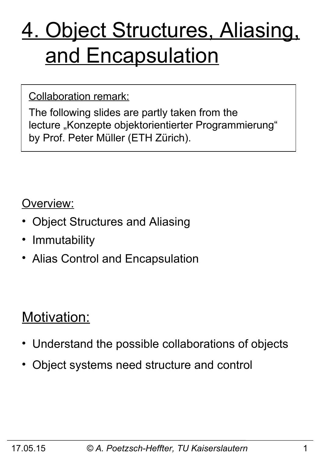# 4. Object Structures, Aliasing, and Encapsulation

#### Collaboration remark:

The following slides are partly taken from the lecture "Konzepte objektorientierter Programmierung" by Prof. Peter Müller (ETH Zürich).

#### Overview:

- Object Structures and Aliasing
- Immutability
- Alias Control and Encapsulation

### Motivation:

- Understand the possible collaborations of objects
- Object systems need structure and control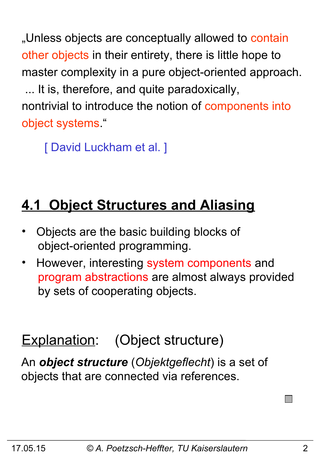"Unless objects are conceptually allowed to contain other objects in their entirety, there is little hope to master complexity in a pure object-oriented approach. ... It is, therefore, and quite paradoxically, nontrivial to introduce the notion of components into object systems."

[ David Luckham et al. ]

# **4.1 Object Structures and Aliasing**

- Objects are the basic building blocks of object-oriented programming.
- However, interesting system components and program abstractions are almost always provided by sets of cooperating objects.

# Explanation: (Object structure)

An *object structure* (*Objektgeflecht*) is a set of objects that are connected via references.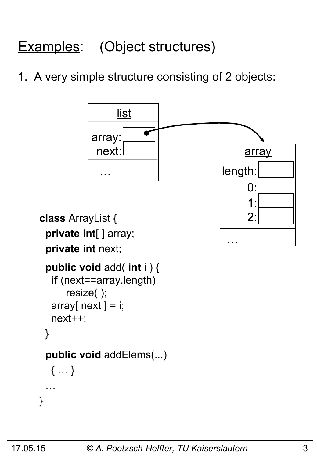# Examples: (Object structures)

### 1. A very simple structure consisting of 2 objects:

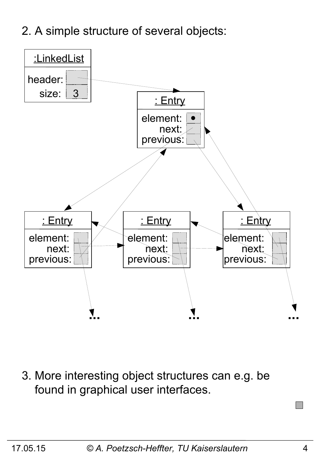2. A simple structure of several objects:



3. More interesting object structures can e.g. be found in graphical user interfaces.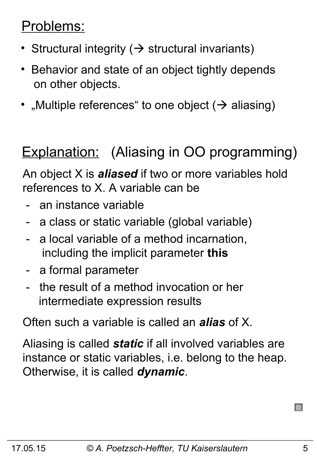### Problems:

- Structural integrity ( $\rightarrow$  structural invariants)
- Behavior and state of an object tightly depends on other objects.
- "Multiple references" to one object  $($   $\rightarrow$  aliasing)

# Explanation: (Aliasing in OO programming)

An object X is *aliased* if two or more variables hold references to X. A variable can be

- an instance variable
- a class or static variable (global variable)
- a local variable of a method incarnation, including the implicit parameter **this**
- a formal parameter
- the result of a method invocation or her intermediate expression results

Often such a variable is called an *alias* of X.

Aliasing is called *static* if all involved variables are instance or static variables, i.e. belong to the heap. Otherwise, it is called *dynamic*.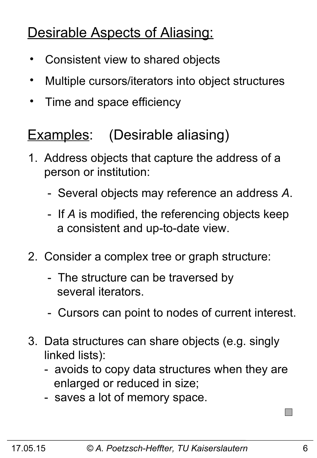### Desirable Aspects of Aliasing:

- Consistent view to shared objects
- Multiple cursors/iterators into object structures
- Time and space efficiency

### Examples: (Desirable aliasing)

- 1. Address objects that capture the address of a person or institution:
	- Several objects may reference an address *A*.
	- If *A* is modified, the referencing objects keep a consistent and up-to-date view.
- 2. Consider a complex tree or graph structure:
	- The structure can be traversed by several iterators.
	- Cursors can point to nodes of current interest.
- 3. Data structures can share objects (e.g. singly linked lists):
	- avoids to copy data structures when they are enlarged or reduced in size;
	- saves a lot of memory space.

 $\Box$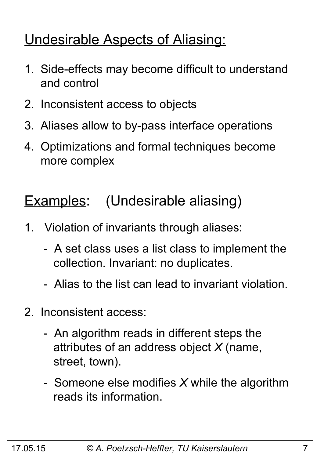### Undesirable Aspects of Aliasing:

- 1. Side-effects may become difficult to understand and control
- 2. Inconsistent access to objects
- 3. Aliases allow to by-pass interface operations
- 4. Optimizations and formal techniques become more complex

### Examples: (Undesirable aliasing)

- 1. Violation of invariants through aliases:
	- A set class uses a list class to implement the collection. Invariant: no duplicates.
	- Alias to the list can lead to invariant violation.
- 2. Inconsistent access:
	- An algorithm reads in different steps the attributes of an address object *X* (name, street, town).
	- Someone else modifies *X* while the algorithm reads its information.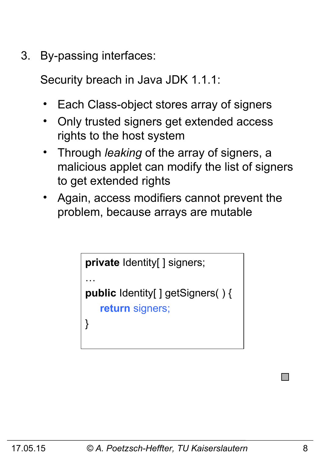3. By-passing interfaces:

Security breach in Java JDK 1.1.1:

- Each Class-object stores array of signers
- Only trusted signers get extended access rights to the host system
- Through *leaking* of the array of signers, a malicious applet can modify the list of signers to get extended rights
- Again, access modifiers cannot prevent the problem, because arrays are mutable

```
private Identity[ ] signers;
…
public Identity[ ] getSigners( ) {
    return signers;
}
```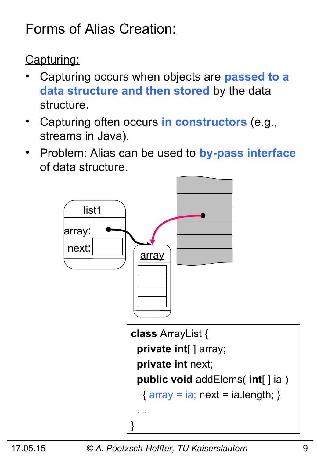### Forms of Alias Creation:

Capturing:

- Capturing occurs when objects are **passed to a data structure and then stored** by the data structure.
- Capturing often occurs **in constructors** (e.g., streams in Java).
- Problem: Alias can be used to **by-pass interface** of data structure.

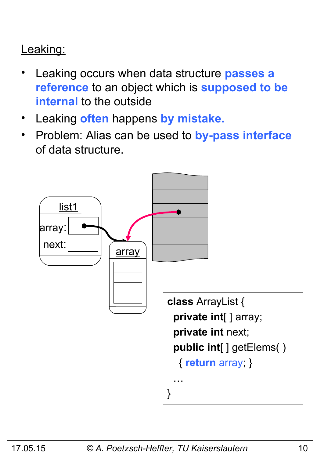### Leaking:

- Leaking occurs when data structure **passes a reference** to an object which is **supposed to be internal** to the outside
- Leaking **often** happens **by mistake.**
- Problem: Alias can be used to **by-pass interface** of data structure.

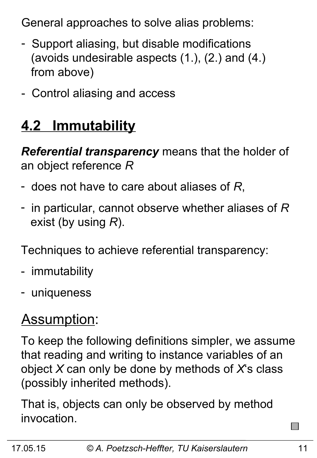General approaches to solve alias problems:

- Support aliasing, but disable modifications (avoids undesirable aspects (1.), (2.) and (4.) from above)
- Control aliasing and access

# **4.2 Immutability**

*Referential transparency* means that the holder of an object reference *R*

- does not have to care about aliases of *R*,
- in particular, cannot observe whether aliases of *R* exist (by using *R*).

Techniques to achieve referential transparency:

- immutability
- uniqueness

# Assumption:

To keep the following definitions simpler, we assume that reading and writing to instance variables of an object *X* can only be done by methods of *X*'s class (possibly inherited methods).

That is, objects can only be observed by method invocation.

 $\sim$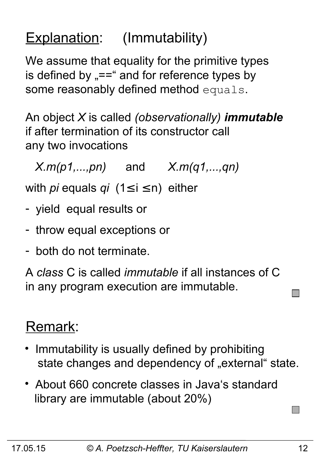### Explanation: (Immutability)

We assume that equality for the primitive types is defined by  $v = -\frac{1}{2}$  and for reference types by some reasonably defined method equals.

An object *X* is called *(observationally) immutable* if after termination of its constructor call any two invocations

*X.m(p1,...,pn)* and *X.m(q1,...,qn)*

with *pi* equals *qi* (1≤ i ≤ n) either

- yield equal results or
- throw equal exceptions or
- both do not terminate.

A *class* C is called *immutable* if all instances of C in any program execution are immutable.

### Remark:

- Immutability is usually defined by prohibiting state changes and dependency of "external" state.
- About 660 concrete classes in Java's standard library are immutable (about 20%)

 $\Box$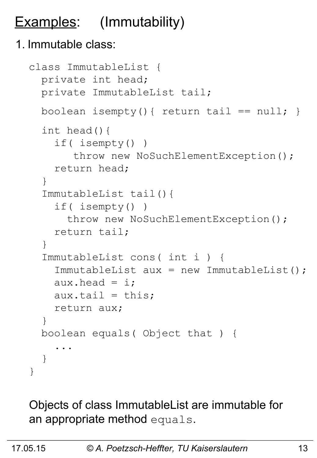# **Examples:** (Immutability)

#### 1. Immutable class:

```
class ImmutableList {
   private int head;
   private ImmutableList tail;
  boolean isempty(){ return tail == null; }
   int head(){
     if( isempty() )
       throw new NoSuchElementException();
     return head;
   }
   ImmutableList tail(){
     if( isempty() )
      throw new NoSuchElementException();
     return tail;
   }
   ImmutableList cons( int i ) {
     ImmutableList aux = new ImmutableList();
    aux.head = i;
    aux.tail = this; return aux;
   } 
   boolean equals( Object that ) {
 ...
   }
}
```
Objects of class ImmutableList are immutable for an appropriate method equals.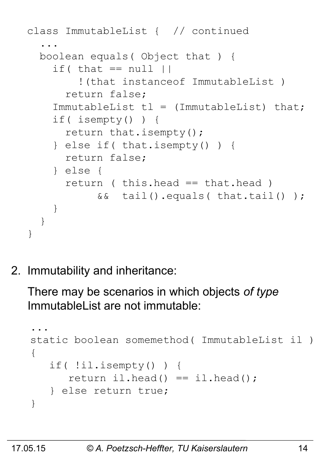```
class ImmutableList { // continued
 ...
  boolean equals( Object that ) {
    if( that == null |) !(that instanceof ImmutableList )
       return false;
    ImmutableList tl = (ImmutableList) that; if( isempty() ) {
       return that.isempty();
     } else if( that.isempty() ) {
       return false;
     } else {
       return ( this.head == that.head )
            && tail().equals( that.tail() );
 } 
   }
}
```
2. Immutability and inheritance:

There may be scenarios in which objects *of type* ImmutableList are not immutable:

```
...
static boolean somemethod( ImmutableList il )
{
    if( !il.isempty() ) {
      return il.head() == il.head();
    } else return true;
}
```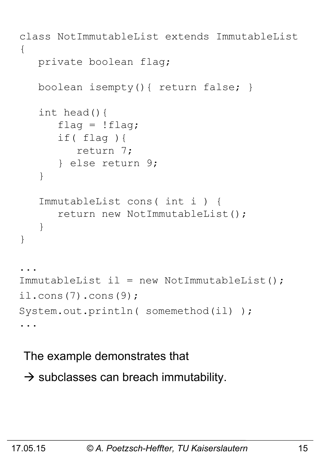```
class NotImmutableList extends ImmutableList
{
    private boolean flag;
    boolean isempty(){ return false; }
    int head(){
      flag = !flag; if( flag ){
          return 7;
       } else return 9;
    }
    ImmutableList cons( int i ) {
       return new NotImmutableList();
    }
}
...
ImmutableList il = new NotImmutableList();
il.cons(7).cons(9);
System.out.println( somemethod(il) );
...
```
The example demonstrates that

 $\rightarrow$  subclasses can breach immutability.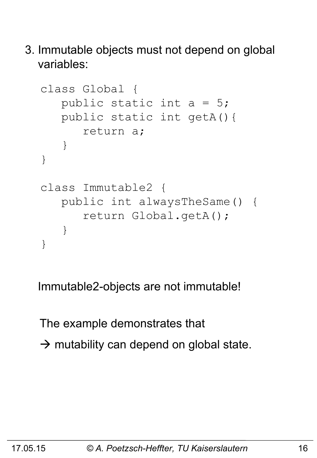3. Immutable objects must not depend on global variables:

```
class Global {
    public static int a = 5;
    public static int getA(){ 
       return a;
    }
}
class Immutable2 {
    public int alwaysTheSame() {
        return Global.getA();
    }
}
```
Immutable2-objects are not immutable!

The example demonstrates that  $\rightarrow$  mutability can depend on global state.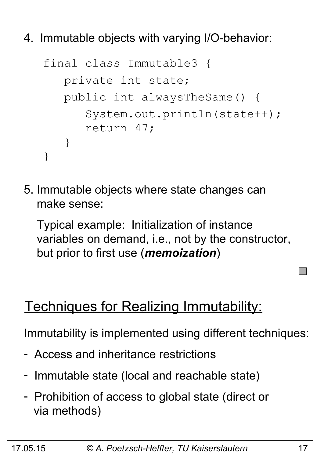4. Immutable objects with varying I/O-behavior:

```
final class Immutable3 {
    private int state;
    public int alwaysTheSame() {
       System.out.println(state++);
       return 47;
    }
}
```
5. Immutable objects where state changes can make sense:

 Typical example: Initialization of instance variables on demand, i.e., not by the constructor, but prior to first use (*memoization*)

### Techniques for Realizing Immutability:

Immutability is implemented using different techniques:

- Access and inheritance restrictions
- Immutable state (local and reachable state)
- Prohibition of access to global state (direct or via methods)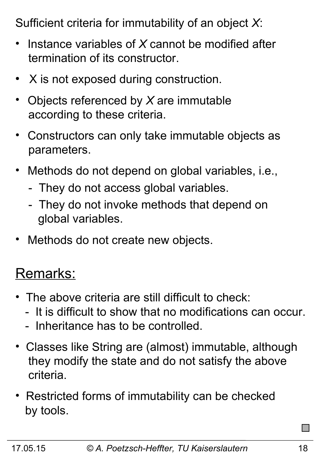Sufficient criteria for immutability of an object *X*:

- Instance variables of *X* cannot be modified after termination of its constructor.
- $\bullet$ X is not exposed during construction.
- Objects referenced by *X* are immutable according to these criteria.
- Constructors can only take immutable objects as parameters.
- Methods do not depend on global variables, i.e.,
	- They do not access global variables.
	- They do not invoke methods that depend on global variables.
- Methods do not create new objects.

### Remarks:

- The above criteria are still difficult to check:
	- It is difficult to show that no modifications can occur.
	- Inheritance has to be controlled.
- Classes like String are (almost) immutable, although they modify the state and do not satisfy the above criteria.
- Restricted forms of immutability can be checked by tools.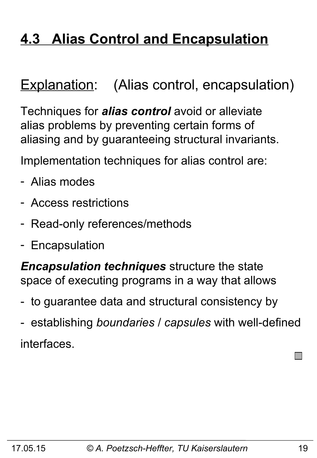### **4.3 Alias Control and Encapsulation**

### Explanation: (Alias control, encapsulation)

Techniques for *alias control* avoid or alleviate alias problems by preventing certain forms of aliasing and by guaranteeing structural invariants.

Implementation techniques for alias control are:

- Alias modes
- Access restrictions
- Read-only references/methods
- Encapsulation

*Encapsulation techniques* structure the state space of executing programs in a way that allows

- to guarantee data and structural consistency by
- establishing *boundaries* / *capsules* with well-defined interfaces.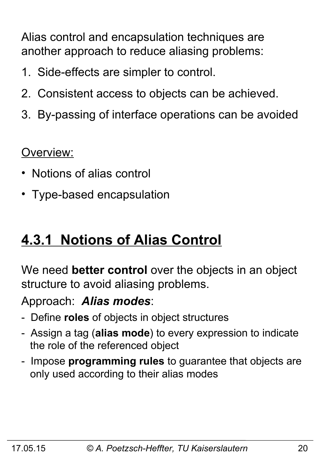Alias control and encapsulation techniques are another approach to reduce aliasing problems:

- 1. Side-effects are simpler to control.
- 2. Consistent access to objects can be achieved.
- 3. By-passing of interface operations can be avoided

Overview:

- Notions of alias control
- Type-based encapsulation

### **4.3.1 Notions of Alias Control**

We need **better control** over the objects in an object structure to avoid aliasing problems.

Approach: *Alias modes*:

- Define **roles** of objects in object structures
- Assign a tag (**alias mode**) to every expression to indicate the role of the referenced object
- Impose **programming rules** to guarantee that objects are only used according to their alias modes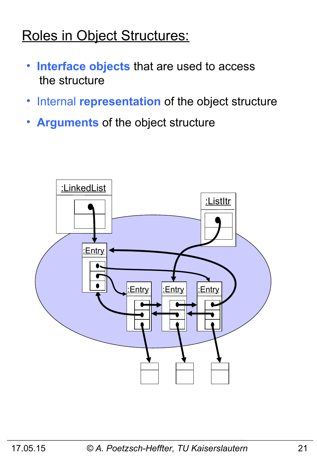### Roles in Object Structures:

- • **Interface objects** that are used to access the structure
- •Internal **representation** of the object structure
- • **Arguments** of the object structure

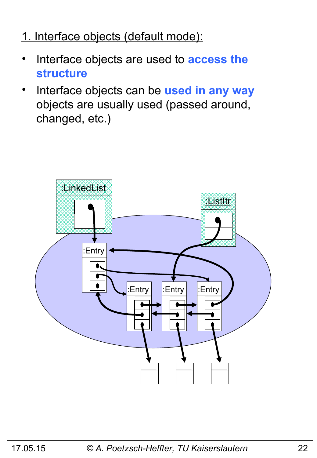#### 1. Interface objects (default mode):

- Interface objects are used to **access the structure**
- Interface objects can be **used in any way** objects are usually used (passed around, changed, etc.)

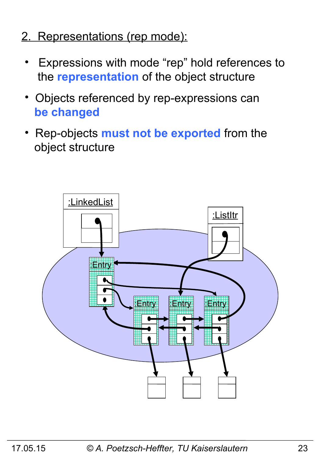- 2. Representations (rep mode):
	- Expressions with mode "rep" hold references to the **representation** of the object structure
	- Objects referenced by rep-expressions can  **be changed**
	- Rep-objects **must not be exported** from the object structure

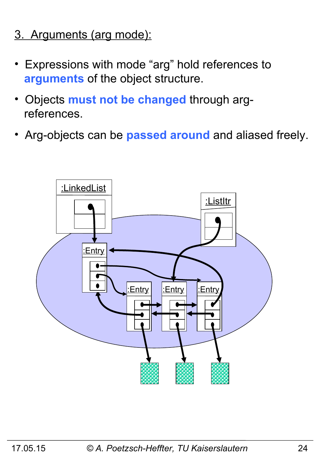- 3. Arguments (arg mode):
- Expressions with mode "arg" hold references to  **arguments** of the object structure.
- Objects **must not be changed** through arg references.
- Arg-objects can be **passed around** and aliased freely.

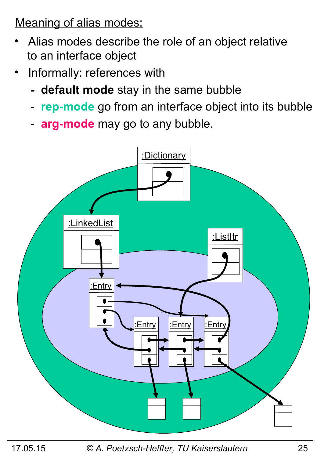Meaning of alias modes:

- Alias modes describe the role of an object relative to an interface object
- Informally: references with
	- **default mode** stay in the same bubble
	- **rep-mode** go from an interface object into its bubble
	- **arg-mode** may go to any bubble.



17.05.15 *© A. Poetzsch-Heffter, TU Kaiserslautern* 25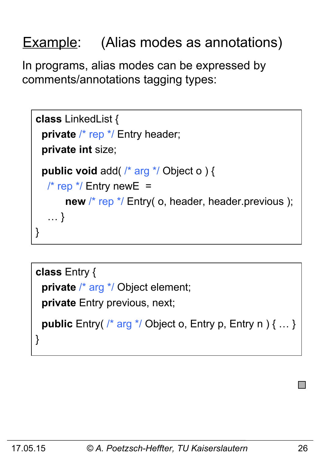### Example: (Alias modes as annotations)

In programs, alias modes can be expressed by comments/annotations tagging types:

```
class LinkedList {
 private /* rep */ Entry header;
  private int size;
  public void add( /* arg */ Object o ) { 
   \frac{1}{2} rep \frac{*}{2} Entry new E =
       new /* rep */ Entry( o, header, header.previous );
    … }
}
```

```
class Entry {
  private /* arg */ Object element;
  private Entry previous, next;
  public Entry( /* arg */ Object o, Entry p, Entry n ) { … }
}
```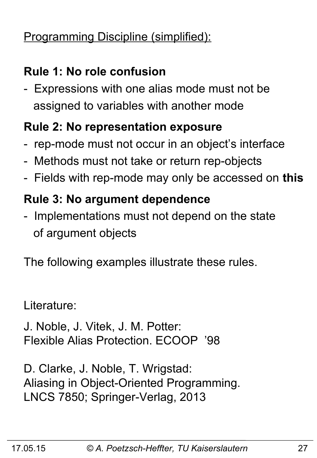### Programming Discipline (simplified):

### **Rule 1: No role confusion**

- Expressions with one alias mode must not be assigned to variables with another mode

#### **Rule 2: No representation exposure**

- rep-mode must not occur in an object's interface
- Methods must not take or return rep-objects
- Fields with rep-mode may only be accessed on **this**

### **Rule 3: No argument dependence**

- Implementations must not depend on the state of argument objects

The following examples illustrate these rules.

Literature:

J. Noble, J. Vitek, J. M. Potter: Flexible Alias Protection. ECOOP '98

D. Clarke, J. Noble, T. Wrigstad: Aliasing in Object-Oriented Programming. LNCS 7850; Springer-Verlag, 2013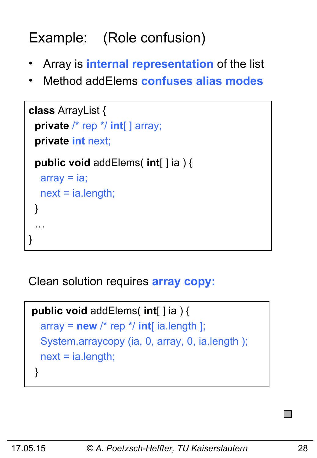# Example: (Role confusion)

- Array is **internal representation** of the list
- Method addElems **confuses alias modes**

```
class ArrayList {
  private /* rep */ int[ ] array;
  private int next;
  public void addElems( int[ ] ia ) {
  array = ia; next = ia.length;
  }
 …
}
```
Clean solution requires **array copy:** 

```
public void addElems( int[ ] ia ) {
  array = new /* rep */ int[i] ia.length ];
   System.arraycopy (ia, 0, array, 0, ia.length );
   next = ia.length;
 }
```
I II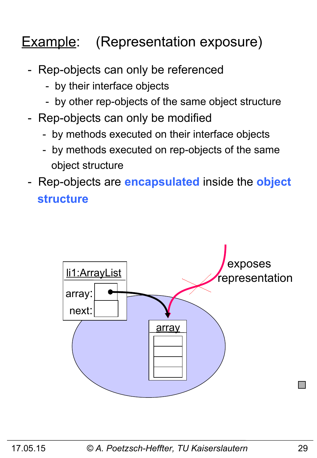### **Example:** (Representation exposure)

- Rep-objects can only be referenced
	- by their interface objects
	- by other rep-objects of the same object structure
- Rep-objects can only be modified
	- by methods executed on their interface objects
	- by methods executed on rep-objects of the same object structure
- Rep-objects are **encapsulated** inside the **object structure**

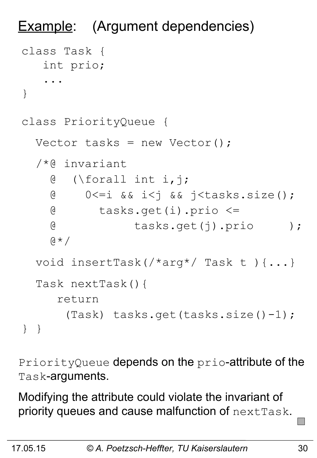```
Example: (Argument dependencies)
class Task {
    int prio;
     ...
}
class PriorityQueue {
  Vector tasks = new Vector();
   /*@ invariant 
     @ (\forall int i,j; 
     @ 0<=i && i<j && j<tasks.size();
     @ tasks.get(i).prio <= 
     @ tasks.get(j).prio );
    \theta \star / void insertTask(/*arg*/ Task t ){...}
   Task nextTask(){
      return 
        (Task) tasks.get(tasks.size()-1);
} }
```
PriorityQueue depends on the prio-attribute of the Task-arguments.

Modifying the attribute could violate the invariant of priority queues and cause malfunction of nextTask.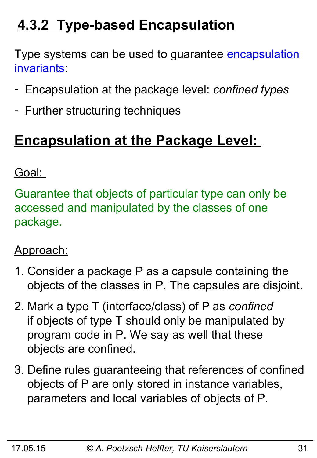### **4.3.2 Type-based Encapsulation**

Type systems can be used to guarantee encapsulation invariants:

- Encapsulation at the package level: *confined types*
- Further structuring techniques

### **Encapsulation at the Package Level:**

### Goal:

Guarantee that objects of particular type can only be accessed and manipulated by the classes of one package.

### Approach:

- 1. Consider a package P as a capsule containing the objects of the classes in P. The capsules are disjoint.
- 2. Mark a type T (interface/class) of P as *confined*  if objects of type T should only be manipulated by program code in P. We say as well that these objects are confined.
- 3. Define rules guaranteeing that references of confined objects of P are only stored in instance variables, parameters and local variables of objects of P.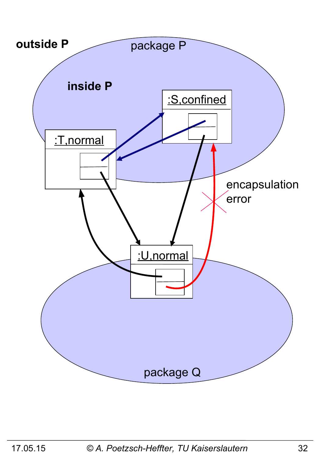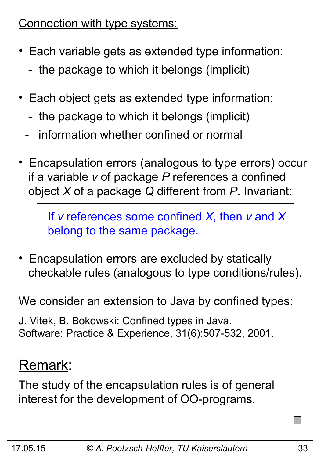Connection with type systems:

- Each variable gets as extended type information:
	- the package to which it belongs (implicit)
- Each object gets as extended type information:
	- the package to which it belongs (implicit)
	- information whether confined or normal
- Encapsulation errors (analogous to type errors) occur if a variable *v* of package *P* references a confined object *X* of a package *Q* different from *P*. Invariant:

 If *v* references some confined *X*, then *v* and *X* belong to the same package.

• Encapsulation errors are excluded by statically checkable rules (analogous to type conditions/rules).

We consider an extension to Java by confined types:

J. Vitek, B. Bokowski: Confined types in Java. Software: Practice & Experience, 31(6):507-532, 2001.

### Remark:

The study of the encapsulation rules is of general interest for the development of OO-programs.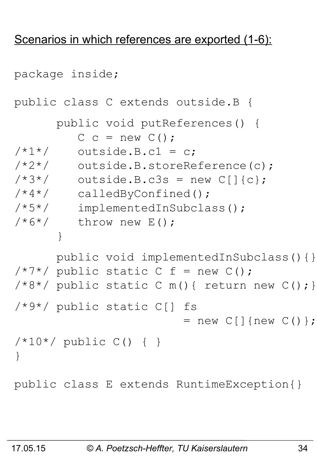#### Scenarios in which references are exported (1-6):

```
package inside;
public class C extends outside.B {
       public void putReferences() {
         C c = new C();
/ * 1*/ outside. B.c1 = c;
/*2*/ outside.B.storeReference(c);
/*3*/ outside.B.c3s = new C[]{c};
/*4*/ calledByConfined();
/*5*/ implementedInSubclass();
7*6*/ throw new E();
 }
       public void implementedInSubclass(){}
/ * 7 * / public static C f = new C();
/*8*/ public static C m(){ return new C(); }
/*9*/ public static C[] fs 
                        = new C[] {new C() };
/*10*/ public C() { }
}
public class E extends RuntimeException{}
```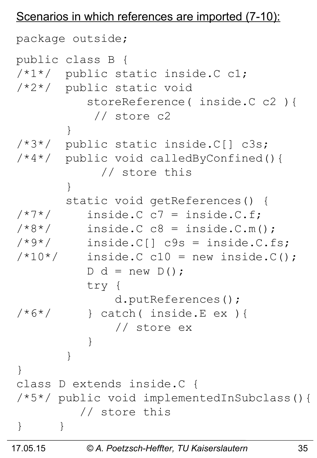#### Scenarios in which references are imported (7-10):

```
package outside;
public class B {
/*1*/ public static inside.C c1;
/*2*/ public static void
           storeReference( inside.C c2 ){
            // store c2
 }
/*3*/ public static inside.C[] c3s;
/*4*/ public void calledByConfined(){
             // store this
 }
        static void getReferences() {
/ * 7*/ inside. C c7 = inside. C. f;
/*8*/ inside. C_{CR} = inside. C_{CR}(t);
/*9*/ inside.C[] c9s = inside.C.fs;
/*10*/ inside. C C10 = new inside.C();
          D d = new D();
           try {
              d.putReferences();
/*6*/ } catch( inside.E ex ) {
              // store ex
 }
 }
}
class D extends inside.C {
/*5*/ public void implementedInSubclass(){
          // store this
} }
```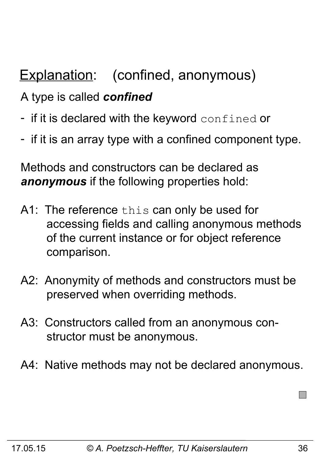### Explanation: (confined, anonymous)

### A type is called *confined*

- if it is declared with the keyword confined or
- if it is an array type with a confined component type.

Methods and constructors can be declared as *anonymous* if the following properties hold:

- A1: The reference this can only be used for accessing fields and calling anonymous methods of the current instance or for object reference comparison.
- A2: Anonymity of methods and constructors must be preserved when overriding methods.
- A3: Constructors called from an anonymous con structor must be anonymous.
- A4: Native methods may not be declared anonymous.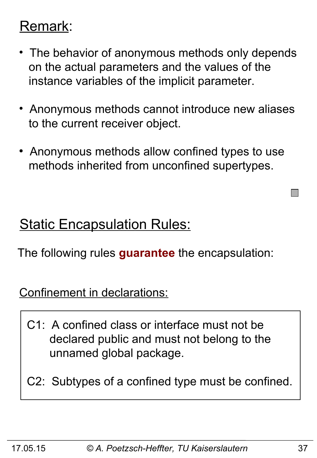### Remark:

- The behavior of anonymous methods only depends on the actual parameters and the values of the instance variables of the implicit parameter.
- Anonymous methods cannot introduce new aliases to the current receiver object.
- Anonymous methods allow confined types to use methods inherited from unconfined supertypes.

### **Static Encapsulation Rules:**

The following rules **guarantee** the encapsulation:

Confinement in declarations:

- C1: A confined class or interface must not be declared public and must not belong to the unnamed global package.
- C2: Subtypes of a confined type must be confined.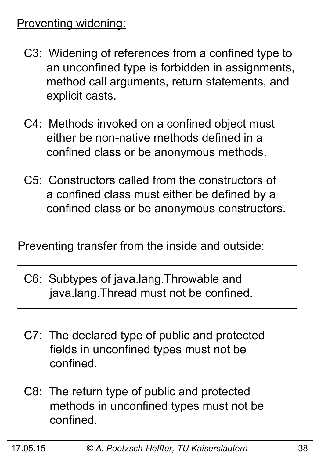- C3: Widening of references from a confined type to an unconfined type is forbidden in assignments, method call arguments, return statements, and explicit casts.
- C4: Methods invoked on a confined object must either be non-native methods defined in a confined class or be anonymous methods.
- C5: Constructors called from the constructors of a confined class must either be defined by a confined class or be anonymous constructors.

#### Preventing transfer from the inside and outside:

- C6: Subtypes of java.lang.Throwable and java.lang.Thread must not be confined.
- C7: The declared type of public and protected fields in unconfined types must not be confined.
- C8: The return type of public and protected methods in unconfined types must not be confined.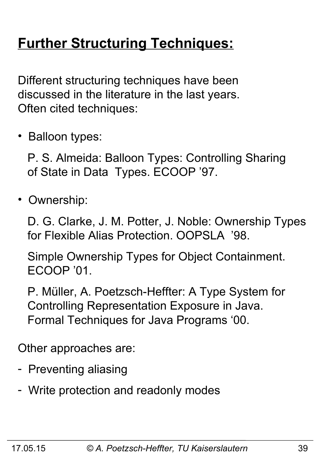# **Further Structuring Techniques:**

Different structuring techniques have been discussed in the literature in the last years. Often cited techniques:

• Balloon types:

 P. S. Almeida: Balloon Types: Controlling Sharing of State in Data Types. ECOOP '97.

• Ownership:

 D. G. Clarke, J. M. Potter, J. Noble: Ownership Types for Flexible Alias Protection. OOPSLA '98.

 Simple Ownership Types for Object Containment. ECOOP '01.

 P. Müller, A. Poetzsch-Heffter: A Type System for Controlling Representation Exposure in Java. Formal Techniques for Java Programs '00.

Other approaches are:

- Preventing aliasing
- Write protection and readonly modes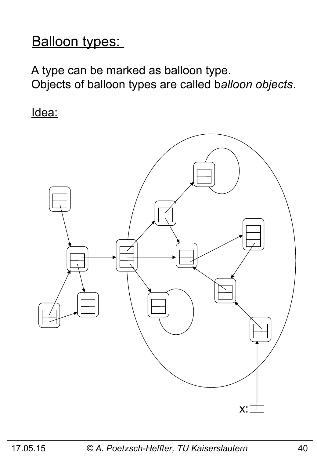### Balloon types:

A type can be marked as balloon type. Objects of balloon types are called b*alloon objects*.

Idea:

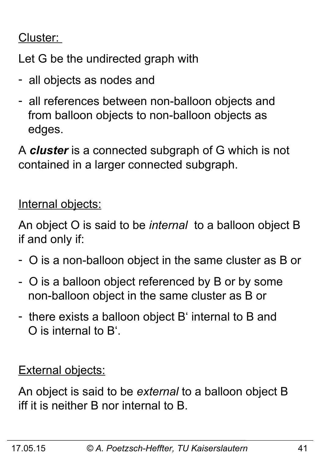### Cluster:

Let G be the undirected graph with

- all objects as nodes and
- all references between non-balloon objects and from balloon objects to non-balloon objects as edges.

A *cluster* is a connected subgraph of G which is not contained in a larger connected subgraph.

Internal objects:

An object O is said to be *internal* to a balloon object B if and only if:

- O is a non-balloon object in the same cluster as B or
- O is a balloon object referenced by B or by some non-balloon object in the same cluster as B or
- there exists a balloon object B' internal to B and O is internal to B'.

**External objects:** 

An object is said to be *external* to a balloon object B iff it is neither B nor internal to B.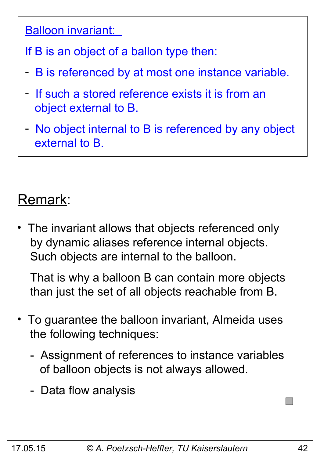#### Balloon invariant:

If B is an object of a ballon type then:

- B is referenced by at most one instance variable.
- If such a stored reference exists it is from an object external to B.
- No object internal to B is referenced by any object external to B.

### Remark:

The invariant allows that objects referenced only by dynamic aliases reference internal objects. Such objects are internal to the balloon.

 That is why a balloon B can contain more objects than just the set of all objects reachable from B.

- To guarantee the balloon invariant, Almeida uses the following techniques:
	- Assignment of references to instance variables of balloon objects is not always allowed.
	- Data flow analysis

**I**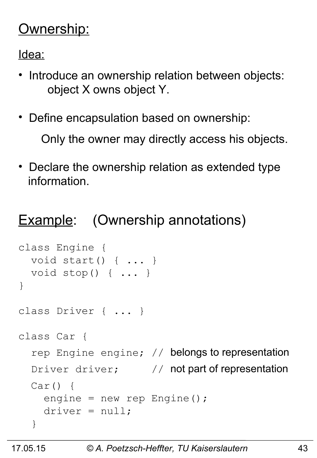### Ownership:

Idea:

- Introduce an ownership relation between objects: object X owns object Y.
- Define encapsulation based on ownership:

Only the owner may directly access his objects.

• Declare the ownership relation as extended type information.

### **Example:** (Ownership annotations)

```
class Engine { 
   void start() { ... }
   void stop() { ... }
}
class Driver { ... }
class Car {
  rep Engine engine; // belongs to representation
  Driver driver; \frac{1}{2} not part of representation
  Car() \{ engine = new rep Engine();
    \text{driver} = \text{null};
   }
```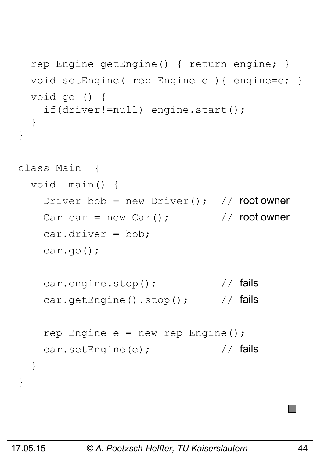```
 rep Engine getEngine() { return engine; }
   void setEngine( rep Engine e ){ engine=e; }
   void go () {
     if(driver!=null) engine.start();
   }
}
class Main { 
   void main() {
    Driver bob = new Driver(); // root owner
    Car car = new Car(); \sqrt{2\pi} // root owner
     car.driver = bob;
     car.go();
    car.engine.stop(); \sqrt{7} fails
    car.getEngine().stop(); // fails
    rep Engine e = new rep Engine();
    car.setEngine(e); \frac{1}{2} // fails
   }
}
```